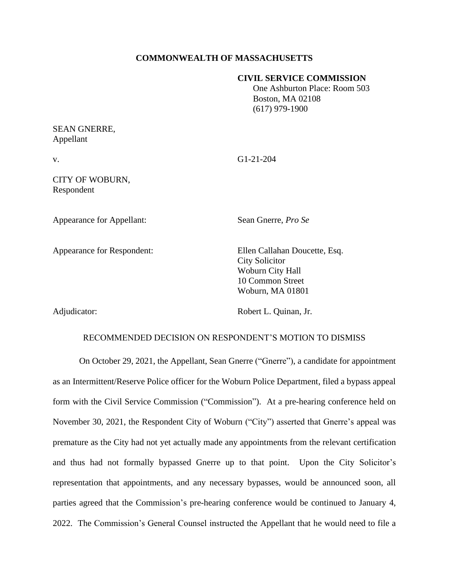## **COMMONWEALTH OF MASSACHUSETTS**

### **CIVIL SERVICE COMMISSION**

 One Ashburton Place: Room 503 Boston, MA 02108 (617) 979-1900

# SEAN GNERRE, Appellant

v. G1-21-204

CITY OF WOBURN, Respondent

Appearance for Appellant: Sean Gnerre, *Pro Se*

Appearance for Respondent: Ellen Callahan Doucette, Esq. City Solicitor Woburn City Hall 10 Common Street Woburn, MA 01801

Adjudicator: Robert L. Quinan, Jr.

#### RECOMMENDED DECISION ON RESPONDENT'S MOTION TO DISMISS

On October 29, 2021, the Appellant, Sean Gnerre ("Gnerre"), a candidate for appointment as an Intermittent/Reserve Police officer for the Woburn Police Department, filed a bypass appeal form with the Civil Service Commission ("Commission"). At a pre-hearing conference held on November 30, 2021, the Respondent City of Woburn ("City") asserted that Gnerre's appeal was premature as the City had not yet actually made any appointments from the relevant certification and thus had not formally bypassed Gnerre up to that point. Upon the City Solicitor's representation that appointments, and any necessary bypasses, would be announced soon, all parties agreed that the Commission's pre-hearing conference would be continued to January 4, 2022. The Commission's General Counsel instructed the Appellant that he would need to file a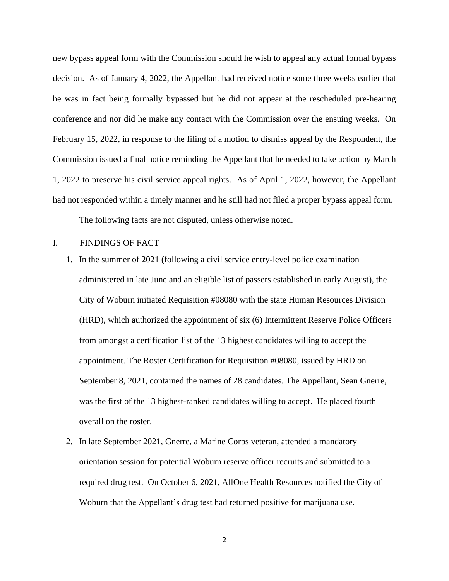new bypass appeal form with the Commission should he wish to appeal any actual formal bypass decision. As of January 4, 2022, the Appellant had received notice some three weeks earlier that he was in fact being formally bypassed but he did not appear at the rescheduled pre-hearing conference and nor did he make any contact with the Commission over the ensuing weeks. On February 15, 2022, in response to the filing of a motion to dismiss appeal by the Respondent, the Commission issued a final notice reminding the Appellant that he needed to take action by March 1, 2022 to preserve his civil service appeal rights. As of April 1, 2022, however, the Appellant had not responded within a timely manner and he still had not filed a proper bypass appeal form.

The following facts are not disputed, unless otherwise noted.

## I. FINDINGS OF FACT

- 1. In the summer of 2021 (following a civil service entry-level police examination administered in late June and an eligible list of passers established in early August), the City of Woburn initiated Requisition #08080 with the state Human Resources Division (HRD), which authorized the appointment of six (6) Intermittent Reserve Police Officers from amongst a certification list of the 13 highest candidates willing to accept the appointment. The Roster Certification for Requisition #08080, issued by HRD on September 8, 2021, contained the names of 28 candidates. The Appellant, Sean Gnerre, was the first of the 13 highest-ranked candidates willing to accept. He placed fourth overall on the roster.
- 2. In late September 2021, Gnerre, a Marine Corps veteran, attended a mandatory orientation session for potential Woburn reserve officer recruits and submitted to a required drug test. On October 6, 2021, AllOne Health Resources notified the City of Woburn that the Appellant's drug test had returned positive for marijuana use.

2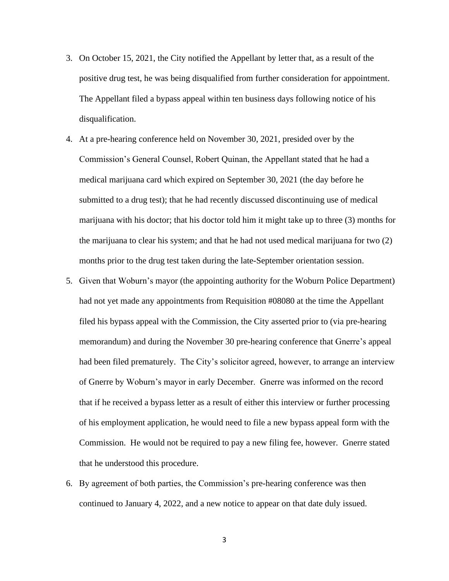- 3. On October 15, 2021, the City notified the Appellant by letter that, as a result of the positive drug test, he was being disqualified from further consideration for appointment. The Appellant filed a bypass appeal within ten business days following notice of his disqualification.
- 4. At a pre-hearing conference held on November 30, 2021, presided over by the Commission's General Counsel, Robert Quinan, the Appellant stated that he had a medical marijuana card which expired on September 30, 2021 (the day before he submitted to a drug test); that he had recently discussed discontinuing use of medical marijuana with his doctor; that his doctor told him it might take up to three (3) months for the marijuana to clear his system; and that he had not used medical marijuana for two (2) months prior to the drug test taken during the late-September orientation session.
- 5. Given that Woburn's mayor (the appointing authority for the Woburn Police Department) had not yet made any appointments from Requisition #08080 at the time the Appellant filed his bypass appeal with the Commission, the City asserted prior to (via pre-hearing memorandum) and during the November 30 pre-hearing conference that Gnerre's appeal had been filed prematurely. The City's solicitor agreed, however, to arrange an interview of Gnerre by Woburn's mayor in early December. Gnerre was informed on the record that if he received a bypass letter as a result of either this interview or further processing of his employment application, he would need to file a new bypass appeal form with the Commission. He would not be required to pay a new filing fee, however. Gnerre stated that he understood this procedure.
- 6. By agreement of both parties, the Commission's pre-hearing conference was then continued to January 4, 2022, and a new notice to appear on that date duly issued.

3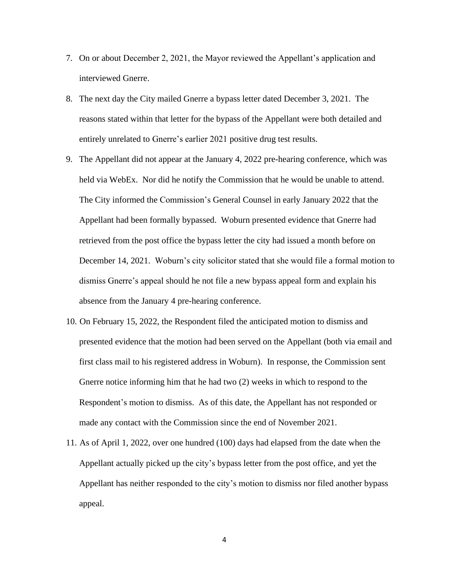- 7. On or about December 2, 2021, the Mayor reviewed the Appellant's application and interviewed Gnerre.
- 8. The next day the City mailed Gnerre a bypass letter dated December 3, 2021. The reasons stated within that letter for the bypass of the Appellant were both detailed and entirely unrelated to Gnerre's earlier 2021 positive drug test results.
- 9. The Appellant did not appear at the January 4, 2022 pre-hearing conference, which was held via WebEx. Nor did he notify the Commission that he would be unable to attend. The City informed the Commission's General Counsel in early January 2022 that the Appellant had been formally bypassed. Woburn presented evidence that Gnerre had retrieved from the post office the bypass letter the city had issued a month before on December 14, 2021. Woburn's city solicitor stated that she would file a formal motion to dismiss Gnerre's appeal should he not file a new bypass appeal form and explain his absence from the January 4 pre-hearing conference.
- 10. On February 15, 2022, the Respondent filed the anticipated motion to dismiss and presented evidence that the motion had been served on the Appellant (both via email and first class mail to his registered address in Woburn). In response, the Commission sent Gnerre notice informing him that he had two (2) weeks in which to respond to the Respondent's motion to dismiss. As of this date, the Appellant has not responded or made any contact with the Commission since the end of November 2021.
- 11. As of April 1, 2022, over one hundred (100) days had elapsed from the date when the Appellant actually picked up the city's bypass letter from the post office, and yet the Appellant has neither responded to the city's motion to dismiss nor filed another bypass appeal.

4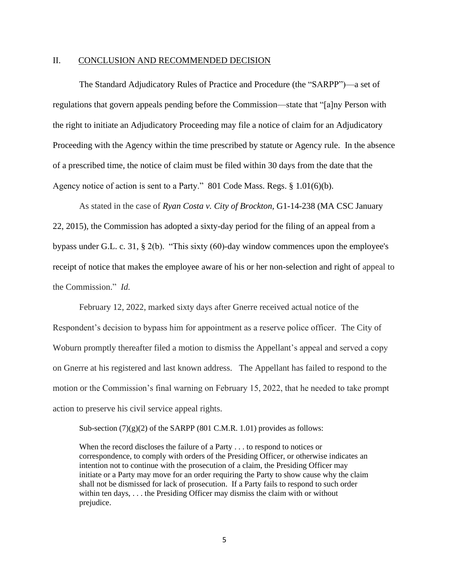### II. CONCLUSION AND RECOMMENDED DECISION

The Standard Adjudicatory Rules of Practice and Procedure (the "SARPP")—a set of regulations that govern appeals pending before the Commission—state that "[a]ny Person with the right to initiate an Adjudicatory Proceeding may file a notice of claim for an Adjudicatory Proceeding with the Agency within the time prescribed by statute or Agency rule. In the absence of a prescribed time, the notice of claim must be filed within 30 days from the date that the Agency notice of action is sent to a Party." 801 Code Mass. Regs. § 1.01(6)(b).

As stated in the case of *Ryan Costa v. City of Brockton,* G1-14-238 (MA CSC January 22, 2015), the Commission has adopted a sixty-day period for the filing of an appeal from a bypass under G.L. c. 31, § 2(b). "This sixty (60)-day window commences upon the employee's receipt of notice that makes the employee aware of his or her non-selection and right of appeal to the Commission." *Id.*

February 12, 2022, marked sixty days after Gnerre received actual notice of the Respondent's decision to bypass him for appointment as a reserve police officer. The City of Woburn promptly thereafter filed a motion to dismiss the Appellant's appeal and served a copy on Gnerre at his registered and last known address. The Appellant has failed to respond to the motion or the Commission's final warning on February 15, 2022, that he needed to take prompt action to preserve his civil service appeal rights.

Sub-section  $(7)(g)(2)$  of the SARPP (801 C.M.R. 1.01) provides as follows:

When the record discloses the failure of a Party . . . to respond to notices or correspondence, to comply with orders of the Presiding Officer, or otherwise indicates an intention not to continue with the prosecution of a claim, the Presiding Officer may initiate or a Party may move for an order requiring the Party to show cause why the claim shall not be dismissed for lack of prosecution. If a Party fails to respond to such order within ten days, . . . the Presiding Officer may dismiss the claim with or without prejudice.